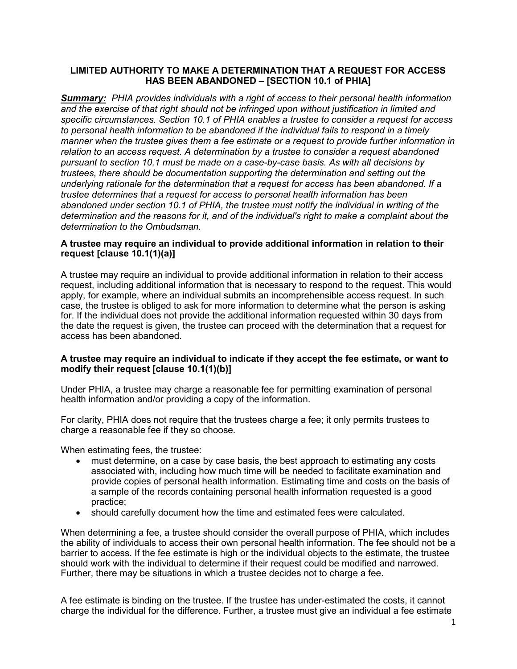# LIMITED AUTHORITY TO MAKE A DETERMINATION THAT A REQUEST FOR ACCESS HAS BEEN ABANDONED – [SECTION 10.1 of PHIA]

**Summary:** PHIA provides individuals with a right of access to their personal health information and the exercise of that right should not be infringed upon without justification in limited and specific circumstances. Section 10.1 of PHIA enables a trustee to consider a request for access to personal health information to be abandoned if the individual fails to respond in a timely manner when the trustee gives them a fee estimate or a request to provide further information in relation to an access request. A determination by a trustee to consider a request abandoned pursuant to section 10.1 must be made on a case-by-case basis. As with all decisions by trustees, there should be documentation supporting the determination and setting out the underlying rationale for the determination that a request for access has been abandoned. If a trustee determines that a request for access to personal health information has been abandoned under section 10.1 of PHIA, the trustee must notify the individual in writing of the determination and the reasons for it, and of the individual's right to make a complaint about the determination to the Ombudsman.

# A trustee may require an individual to provide additional information in relation to their request [clause 10.1(1)(a)]

A trustee may require an individual to provide additional information in relation to their access request, including additional information that is necessary to respond to the request. This would apply, for example, where an individual submits an incomprehensible access request. In such case, the trustee is obliged to ask for more information to determine what the person is asking for. If the individual does not provide the additional information requested within 30 days from the date the request is given, the trustee can proceed with the determination that a request for access has been abandoned.

## A trustee may require an individual to indicate if they accept the fee estimate, or want to modify their request [clause 10.1(1)(b)]

Under PHIA, a trustee may charge a reasonable fee for permitting examination of personal health information and/or providing a copy of the information.

For clarity, PHIA does not require that the trustees charge a fee; it only permits trustees to charge a reasonable fee if they so choose.

When estimating fees, the trustee:

- must determine, on a case by case basis, the best approach to estimating any costs associated with, including how much time will be needed to facilitate examination and provide copies of personal health information. Estimating time and costs on the basis of a sample of the records containing personal health information requested is a good practice;
- should carefully document how the time and estimated fees were calculated.

When determining a fee, a trustee should consider the overall purpose of PHIA, which includes the ability of individuals to access their own personal health information. The fee should not be a barrier to access. If the fee estimate is high or the individual objects to the estimate, the trustee should work with the individual to determine if their request could be modified and narrowed. Further, there may be situations in which a trustee decides not to charge a fee.

A fee estimate is binding on the trustee. If the trustee has under-estimated the costs, it cannot charge the individual for the difference. Further, a trustee must give an individual a fee estimate